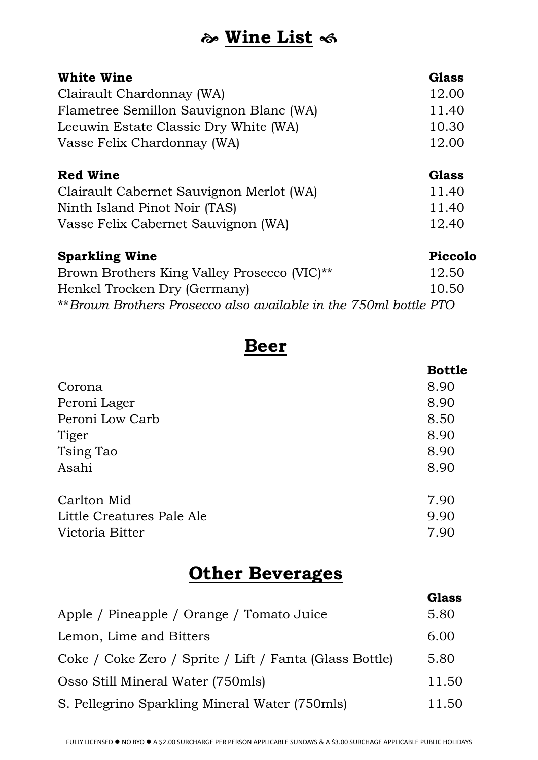## **Wine List**

| <b>White Wine</b>                       | <b>Glass</b> |
|-----------------------------------------|--------------|
| Clairault Chardonnay (WA)               | 12.00        |
| Flametree Semillon Sauvignon Blanc (WA) | 11.40        |
| Leeuwin Estate Classic Dry White (WA)   | 10.30        |
| Vasse Felix Chardonnay (WA)             | 12.00        |
| <b>Red Wine</b>                         | Glass        |

| Clairault Cabernet Sauvignon Merlot (WA) | 11.40 |  |  |
|------------------------------------------|-------|--|--|
| Ninth Island Pinot Noir (TAS)            | 11.40 |  |  |
| Vasse Felix Cabernet Sauvignon (WA)      | 12.40 |  |  |

| <b>Sparkling Wine</b>                                            | Piccolo |
|------------------------------------------------------------------|---------|
| Brown Brothers King Valley Prosecco (VIC) <sup>**</sup>          | 12.50   |
| Henkel Trocken Dry (Germany)                                     | 10.50   |
| **Brown Brothers Prosecco also available in the 750ml bottle PTO |         |

#### **Beer**

|                           | <b>Bottle</b> |
|---------------------------|---------------|
| Corona                    | 8.90          |
| Peroni Lager              | 8.90          |
| Peroni Low Carb           | 8.50          |
| Tiger                     | 8.90          |
| Tsing Tao                 | 8.90          |
| Asahi                     | 8.90          |
| Carlton Mid               | 7.90          |
| Little Creatures Pale Ale | 9.90          |
| Victoria Bitter           | 7.90          |

## **Other Beverages**

|                                                         | <b>Glass</b> |
|---------------------------------------------------------|--------------|
| Apple / Pineapple / Orange / Tomato Juice               | 5.80         |
| Lemon, Lime and Bitters                                 | 6.00         |
| Coke / Coke Zero / Sprite / Lift / Fanta (Glass Bottle) | 5.80         |
| Osso Still Mineral Water (750mls)                       | 11.50        |
| S. Pellegrino Sparkling Mineral Water (750mls)          | 11.50        |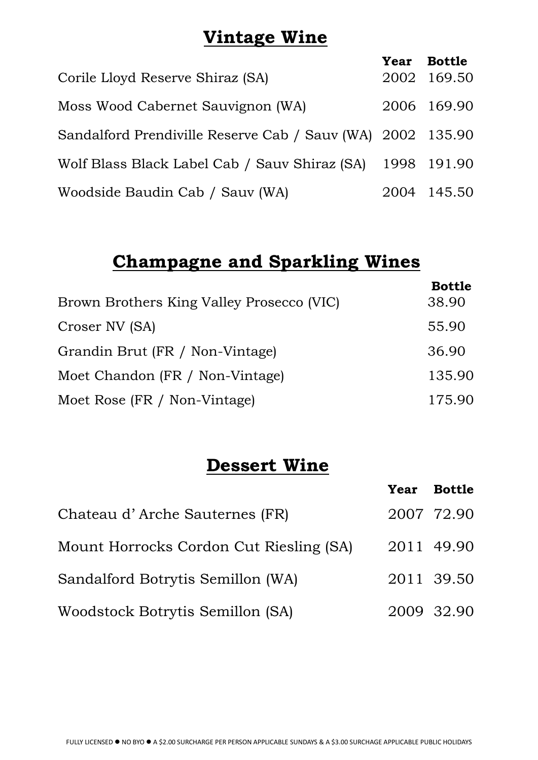### **Vintage Wine**

|                                                            | Year Bottle |
|------------------------------------------------------------|-------------|
| Corile Lloyd Reserve Shiraz (SA)                           | 2002 169.50 |
| Moss Wood Cabernet Sauvignon (WA)                          | 2006 169.90 |
| Sandalford Prendiville Reserve Cab / Sauv (WA) 2002 135.90 |             |
| Wolf Blass Black Label Cab / Sauv Shiraz (SA) 1998 191.90  |             |
| Woodside Baudin Cab / Sauv (WA)                            | 2004 145.50 |

# **Champagne and Sparkling Wines**

|                                           | <b>Bottle</b> |
|-------------------------------------------|---------------|
| Brown Brothers King Valley Prosecco (VIC) | 38.90         |
| Croser NV (SA)                            | 55.90         |
| Grandin Brut (FR / Non-Vintage)           | 36.90         |
| Moet Chandon (FR / Non-Vintage)           | 135.90        |
| Moet Rose (FR / Non-Vintage)              | 175.90        |

### **Dessert Wine**

|                                         | Year Bottle |
|-----------------------------------------|-------------|
| Chateau d'Arche Sauternes (FR)          | 2007 72.90  |
| Mount Horrocks Cordon Cut Riesling (SA) | 2011 49.90  |
| Sandalford Botrytis Semillon (WA)       | 2011 39.50  |
| Woodstock Botrytis Semillon (SA)        | 2009 32.90  |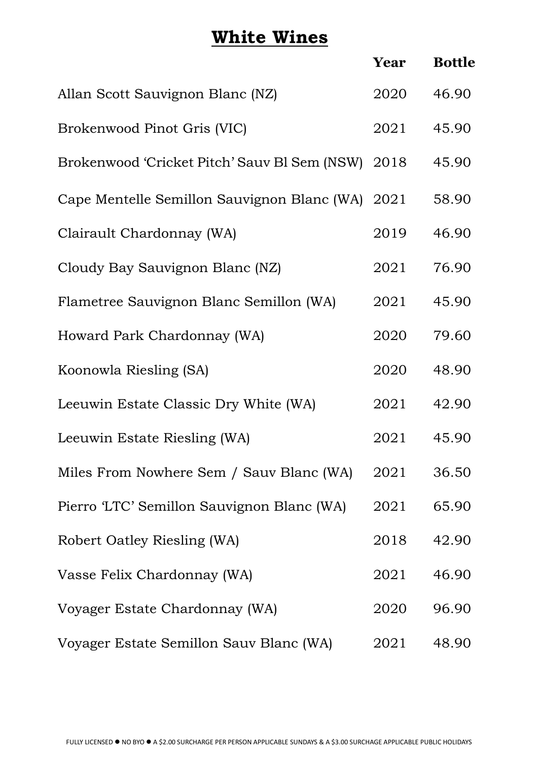## **White Wines**

|                                              | Year | <b>Bottle</b> |
|----------------------------------------------|------|---------------|
| Allan Scott Sauvignon Blanc (NZ)             | 2020 | 46.90         |
| Brokenwood Pinot Gris (VIC)                  | 2021 | 45.90         |
| Brokenwood 'Cricket Pitch' Sauv Bl Sem (NSW) | 2018 | 45.90         |
| Cape Mentelle Semillon Sauvignon Blanc (WA)  | 2021 | 58.90         |
| Clairault Chardonnay (WA)                    | 2019 | 46.90         |
| Cloudy Bay Sauvignon Blanc (NZ)              | 2021 | 76.90         |
| Flametree Sauvignon Blanc Semillon (WA)      | 2021 | 45.90         |
| Howard Park Chardonnay (WA)                  | 2020 | 79.60         |
| Koonowla Riesling (SA)                       | 2020 | 48.90         |
| Leeuwin Estate Classic Dry White (WA)        | 2021 | 42.90         |
| Leeuwin Estate Riesling (WA)                 | 2021 | 45.90         |
| Miles From Nowhere Sem / Sauv Blanc (WA)     | 2021 | 36.50         |
| Pierro 'LTC' Semillon Sauvignon Blanc (WA)   | 2021 | 65.90         |
| Robert Oatley Riesling (WA)                  | 2018 | 42.90         |
| Vasse Felix Chardonnay (WA)                  | 2021 | 46.90         |
| Voyager Estate Chardonnay (WA)               | 2020 | 96.90         |
| Voyager Estate Semillon Sauv Blanc (WA)      | 2021 | 48.90         |